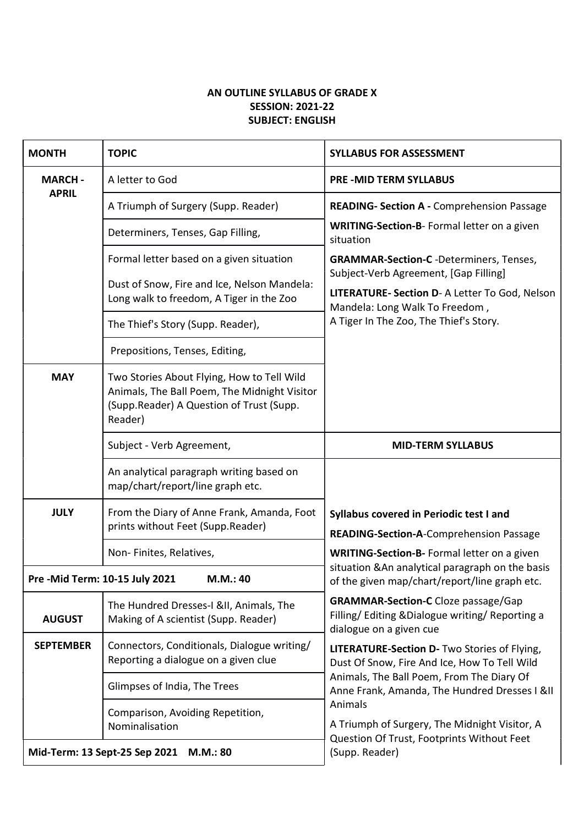## AN OUTLINE SYLLABUS OF GRADE X SESSION: 2021-22 SUBJECT: ENGLISH

| <b>MONTH</b>                                | <b>TOPIC</b>                                                                                                                                      | <b>SYLLABUS FOR ASSESSMENT</b>                                                                                                                                                             |
|---------------------------------------------|---------------------------------------------------------------------------------------------------------------------------------------------------|--------------------------------------------------------------------------------------------------------------------------------------------------------------------------------------------|
| <b>MARCH-</b><br><b>APRIL</b>               | A letter to God                                                                                                                                   | <b>PRE-MID TERM SYLLABUS</b>                                                                                                                                                               |
|                                             | A Triumph of Surgery (Supp. Reader)                                                                                                               | <b>READING- Section A - Comprehension Passage</b>                                                                                                                                          |
|                                             | Determiners, Tenses, Gap Filling,                                                                                                                 | WRITING-Section-B- Formal letter on a given<br>situation                                                                                                                                   |
|                                             | Formal letter based on a given situation                                                                                                          | <b>GRAMMAR-Section-C</b> -Determiners, Tenses,                                                                                                                                             |
|                                             | Dust of Snow, Fire and Ice, Nelson Mandela:<br>Long walk to freedom, A Tiger in the Zoo                                                           | Subject-Verb Agreement, [Gap Filling]<br>LITERATURE- Section D- A Letter To God, Nelson<br>Mandela: Long Walk To Freedom,                                                                  |
|                                             | The Thief's Story (Supp. Reader),                                                                                                                 | A Tiger In The Zoo, The Thief's Story.                                                                                                                                                     |
|                                             | Prepositions, Tenses, Editing,                                                                                                                    |                                                                                                                                                                                            |
| <b>MAY</b>                                  | Two Stories About Flying, How to Tell Wild<br>Animals, The Ball Poem, The Midnight Visitor<br>(Supp.Reader) A Question of Trust (Supp.<br>Reader) |                                                                                                                                                                                            |
|                                             | Subject - Verb Agreement,                                                                                                                         | <b>MID-TERM SYLLABUS</b>                                                                                                                                                                   |
|                                             | An analytical paragraph writing based on<br>map/chart/report/line graph etc.                                                                      |                                                                                                                                                                                            |
| <b>JULY</b>                                 | From the Diary of Anne Frank, Amanda, Foot<br>prints without Feet (Supp.Reader)                                                                   | Syllabus covered in Periodic test I and<br><b>READING-Section-A-Comprehension Passage</b>                                                                                                  |
|                                             | Non-Finites, Relatives,                                                                                                                           | WRITING-Section-B- Formal letter on a given                                                                                                                                                |
| Pre - Mid Term: 10-15 July 2021<br>M.M.: 40 |                                                                                                                                                   | situation & An analytical paragraph on the basis<br>of the given map/chart/report/line graph etc.                                                                                          |
| <b>AUGUST</b>                               | The Hundred Dresses-I &II, Animals, The<br>Making of A scientist (Supp. Reader)                                                                   | <b>GRAMMAR-Section-C</b> Cloze passage/Gap<br>Filling/Editing & Dialogue writing/Reporting a<br>dialogue on a given cue                                                                    |
| <b>SEPTEMBER</b>                            | Connectors, Conditionals, Dialogue writing/<br>Reporting a dialogue on a given clue                                                               | LITERATURE-Section D- Two Stories of Flying,<br>Dust Of Snow, Fire And Ice, How To Tell Wild<br>Animals, The Ball Poem, From The Diary Of<br>Anne Frank, Amanda, The Hundred Dresses I &II |
|                                             | Glimpses of India, The Trees                                                                                                                      |                                                                                                                                                                                            |
|                                             | Comparison, Avoiding Repetition,<br>Nominalisation                                                                                                | Animals<br>A Triumph of Surgery, The Midnight Visitor, A                                                                                                                                   |
|                                             | Mid-Term: 13 Sept-25 Sep 2021<br>M.M.: 80                                                                                                         | Question Of Trust, Footprints Without Feet<br>(Supp. Reader)                                                                                                                               |